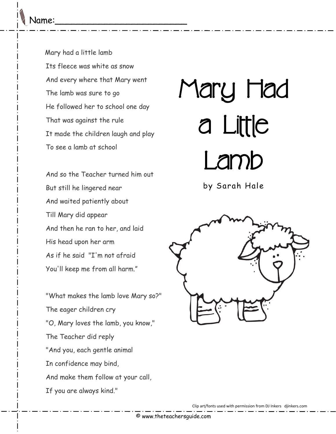Mary had a little lamb Its fleece was white as snow And every where that Mary went The lamb was sure to go He followed her to school one day That was against the rule It made the children laugh and play To see a lamb at school

And so the Teacher turned him out But still he lingered near And waited patiently about Till Mary did appear And then he ran to her, and laid His head upon her arm As if he said "I'm not afraid You'll keep me from all harm."

"What makes the lamb love Mary so?" The eager children cry "O, Mary loves the lamb, you know," The Teacher did reply "And you, each gentle animal In confidence may bind, And make them follow at your call, If you are always kind."

## Mary Had a Little Lamb

by Sarah Hale



Clip art/fonts used with permission from DJ Inkers djinkers.com